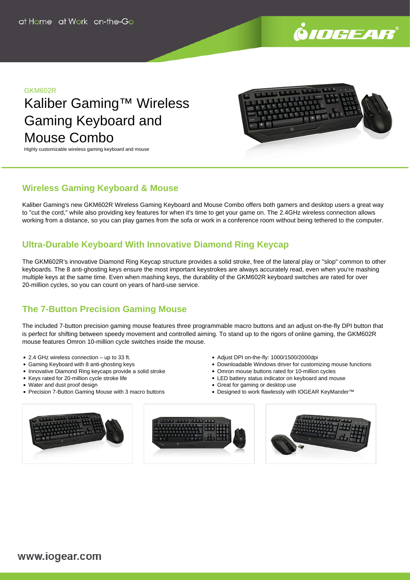

#### GKM602R

Kaliber Gaming™ Wireless Gaming Keyboard and Mouse Combo





## **Wireless Gaming Keyboard & Mouse**

Kaliber Gaming's new GKM602R Wireless Gaming Keyboard and Mouse Combo offers both gamers and desktop users a great way to "cut the cord," while also providing key features for when it's time to get your game on. The 2.4GHz wireless connection allows working from a distance, so you can play games from the sofa or work in a conference room without being tethered to the computer.

# **Ultra-Durable Keyboard With Innovative Diamond Ring Keycap**

The GKM602R's innovative Diamond Ring Keycap structure provides a solid stroke, free of the lateral play or "slop" common to other keyboards. The 8 anti-ghosting keys ensure the most important keystrokes are always accurately read, even when you're mashing multiple keys at the same time. Even when mashing keys, the durability of the GKM602R keyboard switches are rated for over 20-million cycles, so you can count on years of hard-use service.

# **The 7-Button Precision Gaming Mouse**

The included 7-button precision gaming mouse features three programmable macro buttons and an adjust on-the-fly DPI button that is perfect for shifting between speedy movement and controlled aiming. To stand up to the rigors of online gaming, the GKM602R mouse features Omron 10-million cycle switches inside the mouse.

- 2.4 GHz wireless connection up to 33 ft.
- Gaming Keyboard with 8 anti-ghosting keys
- Innovative Diamond Ring keycaps provide a solid stroke
- Keys rated for 20-million cycle stroke life
- Water and dust proof design
- Precision 7-Button Gaming Mouse with 3 macro buttons
- Adjust DPI on-the-fly: 1000/1500/2000dpi
- Downloadable Windows driver for customizing mouse functions
- Omron mouse buttons rated for 10-million cycles
- LED battery status indicator on keyboard and mouse
- Great for gaming or desktop use
- Designed to work flawlessly with IOGEAR KeyMander™